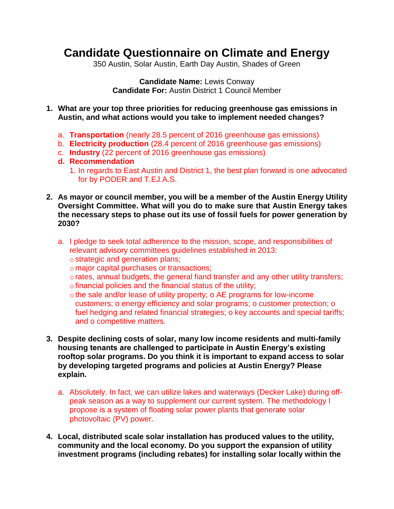## **Candidate Questionnaire on Climate and Energy**

350 Austin, Solar Austin, Earth Day Austin, Shades of Green

**Candidate Name:** Lewis Conway **Candidate For:** Austin District 1 Council Member

**1. What are your top three priorities for reducing greenhouse gas emissions in Austin, and what actions would you take to implement needed changes?**

- a. **Transportation** (nearly 28.5 percent of 2016 greenhouse gas emissions)
- b. **Electricity production** (28.4 percent of 2016 greenhouse gas emissions)
- c. **Industry** (22 percent of 2016 greenhouse gas emissions)
- **d. Recommendation**
	- 1. In regards to East Austin and District 1, the best plan forward is one advocated for by PODER and T.EJ.A.S.
- **2. As mayor or council member, you will be a member of the Austin Energy Utility Oversight Committee. What will you do to make sure that Austin Energy takes the necessary steps to phase out its use of fossil fuels for power generation by 2030?**
	- a. I pledge to seek total adherence to the mission, scope, and responsibilities of relevant advisory committees guidelines established in 2013: o strategic and generation plans;
		- o major capital purchases or transactions;
		- orates, annual budgets, the general fiand transfer and any other utility transfers;
		- ofinancial policies and the financial status of the utility;
		- othe sale and/or lease of utility property; o AE programs for low-income customers; o energy efficiency and solar programs; o customer protection; o fuel hedging and related financial strategies; o key accounts and special tariffs; and o competitive matters.
- **3. Despite declining costs of solar, many low income residents and multi-family housing tenants are challenged to participate in Austin Energy's existing rooftop solar programs. Do you think it is important to expand access to solar by developing targeted programs and policies at Austin Energy? Please explain.**
	- a. Absolutely. In fact, we can utilize lakes and waterways (Decker Lake) during offpeak season as a way to supplement our current system. The methodology I propose is a system of floating solar power plants that generate solar photovoltaic (PV) power.
- **4. Local, distributed scale solar installation has produced values to the utility, community and the local economy. Do you support the expansion of utility investment programs (including rebates) for installing solar locally within the**